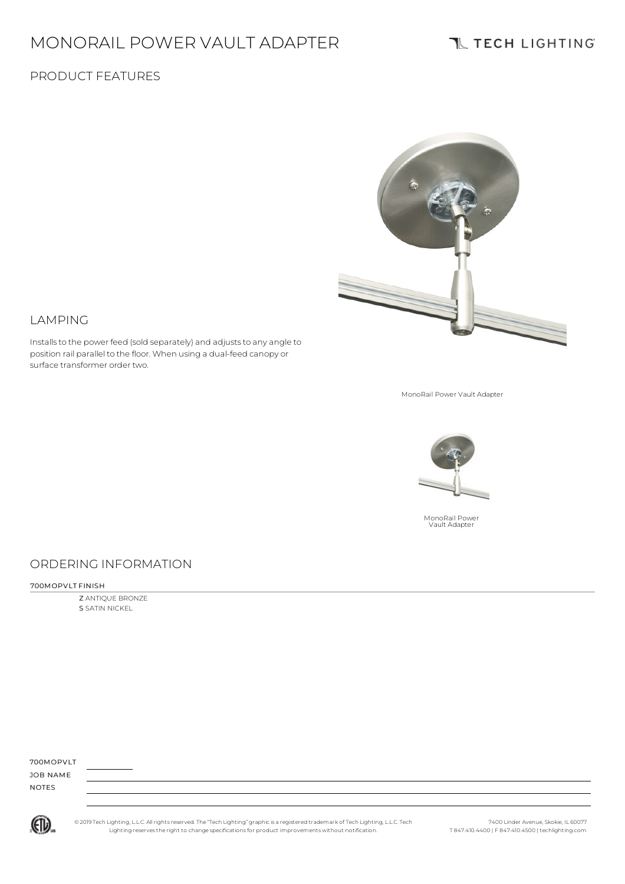# MONORAIL POWER VAULT ADAPTER

Installs to the power feed (sold separately) and adjusts to any angle to position rail parallel to the floor. When using a dual-feed canopy or

# **TL TECH LIGHTING**

### PRODUCT FEATURES



MonoRail Power Vault Adapter



### ORDERING INFORMATION

700MOPVLT FINISH

LAMPING

surface transformer order two.

Z ANTIQUE BRONZE S SATIN NICKEL

700MOPVLT

JOB NAME NOTES



© 2019 Tech Lighting, L.L.C. All rightsreserved. The "Tech Lighting" graphicis a registered trademark of Tech Lighting, L.L.C. Tech Lighting reservesthe right to change specificationsfor product improvements without notification.

7400 Linder Avenue, Skokie, IL 60077 T 847.410.4400 | F 847.410.4500 | techlighting.com

MonoRail Power Vault Adapter